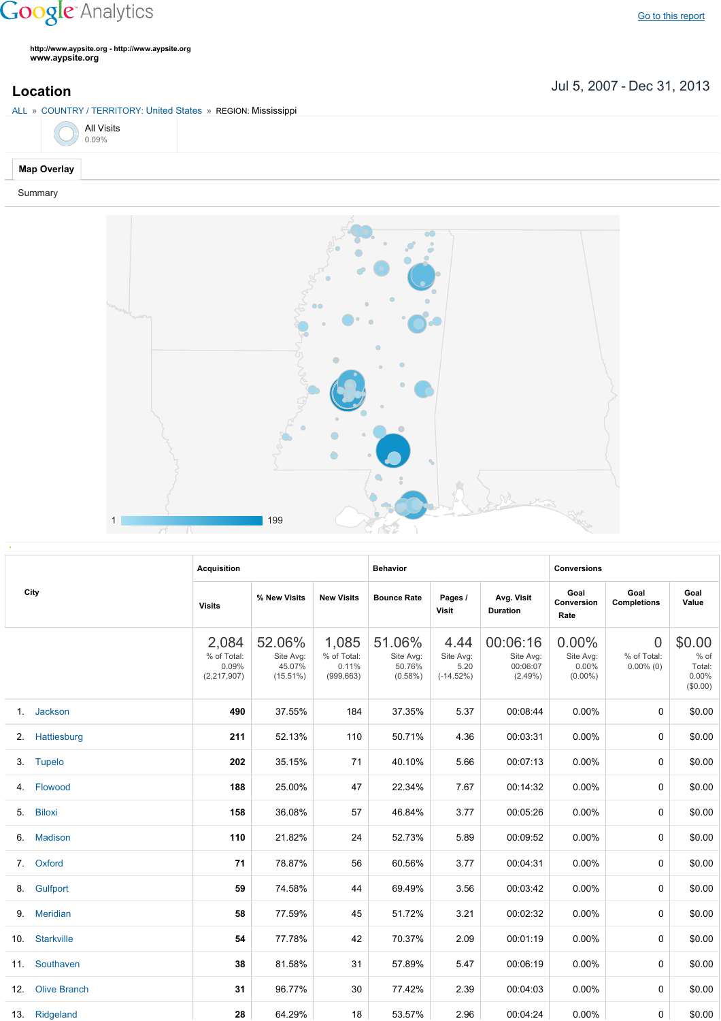## **Google** Analytics

**http://www.aypsite.org http://www.aypsite.org www.aypsite.org**

Jul 5, 2007 Dec 31, 2013 **Location**

## ALL » COUNTRY / TERRITORY: United States » REGION: Mississippi



## **Map Overlay**

Summary



|    | City             | <b>Acquisition</b>                           |                                              |                                             | <b>Behavior</b>                             |                                          |                                                 | <b>Conversions</b>                           |                                               |                                                    |
|----|------------------|----------------------------------------------|----------------------------------------------|---------------------------------------------|---------------------------------------------|------------------------------------------|-------------------------------------------------|----------------------------------------------|-----------------------------------------------|----------------------------------------------------|
|    |                  | <b>Visits</b>                                | % New Visits                                 | <b>New Visits</b>                           | <b>Bounce Rate</b>                          | Pages /<br>Visit                         | Avg. Visit<br><b>Duration</b>                   | Goal<br>Conversion<br>Rate                   | Goal<br><b>Completions</b>                    | Goal<br>Value                                      |
|    |                  | 2,084<br>% of Total:<br>0.09%<br>(2,217,907) | 52.06%<br>Site Avg:<br>45.07%<br>$(15.51\%)$ | 1,085<br>% of Total:<br>0.11%<br>(999, 663) | 51.06%<br>Site Avg:<br>50.76%<br>$(0.58\%)$ | 4.44<br>Site Avg:<br>5.20<br>$(-14.52%)$ | 00:06:16<br>Site Avg:<br>00:06:07<br>$(2.49\%)$ | 0.00%<br>Site Avg:<br>$0.00\%$<br>$(0.00\%)$ | $\overline{0}$<br>% of Total:<br>$0.00\%$ (0) | \$0.00<br>$%$ of<br>Total:<br>$0.00\%$<br>(\$0.00) |
|    | 1. Jackson       | 490                                          | 37.55%                                       | 184                                         | 37.35%                                      | 5.37                                     | 00:08:44                                        | 0.00%                                        | 0                                             | \$0.00                                             |
|    | 2. Hattiesburg   | 211                                          | 52.13%                                       | 110                                         | 50.71%                                      | 4.36                                     | 00:03:31                                        | 0.00%                                        | 0                                             | \$0.00                                             |
|    | 3. Tupelo        | 202                                          | 35.15%                                       | 71                                          | 40.10%                                      | 5.66                                     | 00:07:13                                        | 0.00%                                        | 0                                             | \$0.00                                             |
|    | 4. Flowood       | 188                                          | 25.00%                                       | 47                                          | 22.34%                                      | 7.67                                     | 00:14:32                                        | $0.00\%$                                     | 0                                             | \$0.00                                             |
| 5. | <b>Biloxi</b>    | 158                                          | 36.08%                                       | 57                                          | 46.84%                                      | 3.77                                     | 00:05:26                                        | 0.00%                                        | 0                                             | \$0.00                                             |
| 6. | <b>Madison</b>   | 110                                          | 21.82%                                       | 24                                          | 52.73%                                      | 5.89                                     | 00:09:52                                        | $0.00\%$                                     | 0                                             | \$0.00                                             |
|    | 7. Oxford        | 71                                           | 78.87%                                       | 56                                          | 60.56%                                      | 3.77                                     | 00:04:31                                        | $0.00\%$                                     | 0                                             | \$0.00                                             |
|    | 8. Gulfport      | 59                                           | 74.58%                                       | 44                                          | 69.49%                                      | 3.56                                     | 00:03:42                                        | $0.00\%$                                     | 0                                             | \$0.00                                             |
|    | 9. Meridian      | 58                                           | 77.59%                                       | 45                                          | 51.72%                                      | 3.21                                     | 00:02:32                                        | $0.00\%$                                     | 0                                             | \$0.00                                             |
|    | 10. Starkville   | 54                                           | 77.78%                                       | 42                                          | 70.37%                                      | 2.09                                     | 00:01:19                                        | $0.00\%$                                     | 0                                             | \$0.00                                             |
|    | 11. Southaven    | 38                                           | 81.58%                                       | 31                                          | 57.89%                                      | 5.47                                     | 00:06:19                                        | $0.00\%$                                     | 0                                             | \$0.00                                             |
|    | 12. Olive Branch | 31                                           | 96.77%                                       | 30                                          | 77.42%                                      | 2.39                                     | 00:04:03                                        | 0.00%                                        | 0                                             | \$0.00                                             |
|    | 13. Ridgeland    | 28                                           | 64.29%                                       | 18                                          | 53.57%                                      | 2.96                                     | 00:04:24                                        | $0.00\%$                                     | 0                                             | \$0.00                                             |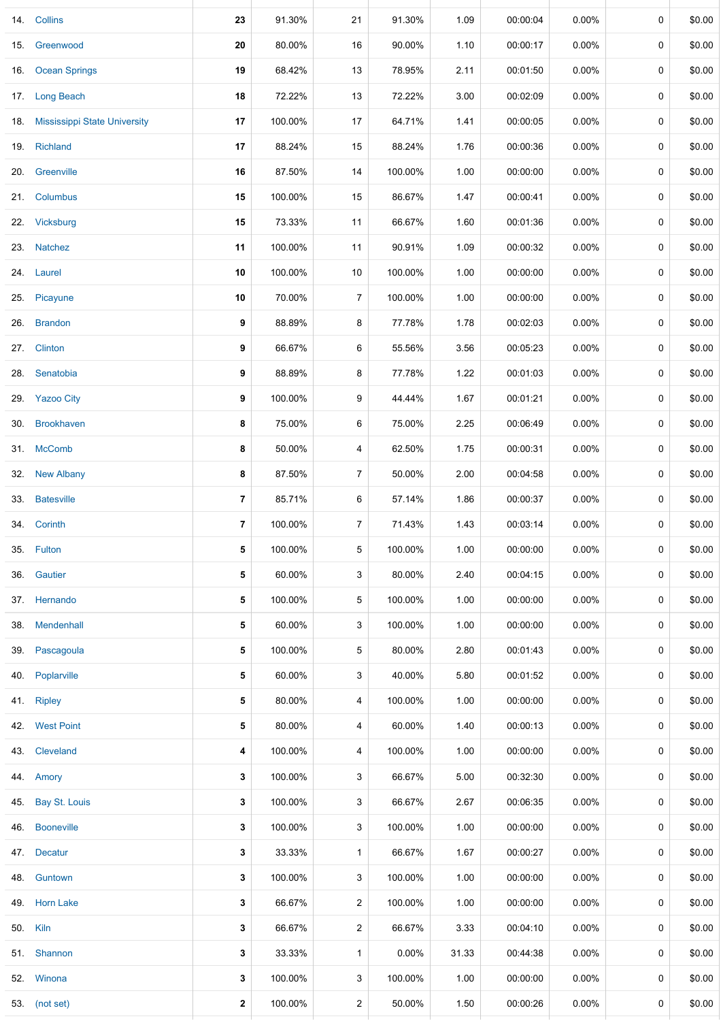|     | 14. Collins                      | 23             | 91.30%  | 21             | 91.30%  | 1.09  | 00:00:04 | 0.00%    | 0           | \$0.00 |
|-----|----------------------------------|----------------|---------|----------------|---------|-------|----------|----------|-------------|--------|
|     | 15. Greenwood                    | 20             | 80.00%  | 16             | 90.00%  | 1.10  | 00:00:17 | 0.00%    | 0           | \$0.00 |
| 16. | <b>Ocean Springs</b>             | 19             | 68.42%  | 13             | 78.95%  | 2.11  | 00:01:50 | $0.00\%$ | 0           | \$0.00 |
|     | 17. Long Beach                   | 18             | 72.22%  | 13             | 72.22%  | 3.00  | 00:02:09 | 0.00%    | 0           | \$0.00 |
|     | 18. Mississippi State University | 17             | 100.00% | 17             | 64.71%  | 1.41  | 00:00:05 | $0.00\%$ | $\mathbf 0$ | \$0.00 |
|     | 19. Richland                     | 17             | 88.24%  | 15             | 88.24%  | 1.76  | 00:00:36 | $0.00\%$ | 0           | \$0.00 |
|     | 20. Greenville                   | 16             | 87.50%  | 14             | 100.00% | 1.00  | 00:00:00 | $0.00\%$ | 0           | \$0.00 |
|     | 21. Columbus                     | 15             | 100.00% | 15             | 86.67%  | 1.47  | 00:00:41 | $0.00\%$ | 0           | \$0.00 |
|     | 22. Vicksburg                    | 15             | 73.33%  | 11             | 66.67%  | 1.60  | 00:01:36 | 0.00%    | 0           | \$0.00 |
|     | 23. Natchez                      | 11             | 100.00% | 11             | 90.91%  | 1.09  | 00:00:32 | $0.00\%$ | 0           | \$0.00 |
|     | 24. Laurel                       | 10             | 100.00% | 10             | 100.00% | 1.00  | 00:00:00 | 0.00%    | 0           | \$0.00 |
| 25. | Picayune                         | 10             | 70.00%  | 7              | 100.00% | 1.00  | 00:00:00 | 0.00%    | 0           | \$0.00 |
| 26. | <b>Brandon</b>                   | 9              | 88.89%  | 8              | 77.78%  | 1.78  | 00:02:03 | 0.00%    | 0           | \$0.00 |
| 27. | Clinton                          | 9              | 66.67%  | 6              | 55.56%  | 3.56  | 00:05:23 | $0.00\%$ | 0           | \$0.00 |
| 28. | Senatobia                        | 9              | 88.89%  | 8              | 77.78%  | 1.22  | 00:01:03 | 0.00%    | 0           | \$0.00 |
|     | 29. Yazoo City                   | 9              | 100.00% | 9              | 44.44%  | 1.67  | 00:01:21 | $0.00\%$ | 0           | \$0.00 |
| 30. | <b>Brookhaven</b>                | 8              | 75.00%  | 6              | 75.00%  | 2.25  | 00:06:49 | $0.00\%$ | 0           | \$0.00 |
|     | 31. McComb                       | 8              | 50.00%  | 4              | 62.50%  | 1.75  | 00:00:31 | $0.00\%$ | 0           | \$0.00 |
| 32. | <b>New Albany</b>                | 8              | 87.50%  | $\overline{7}$ | 50.00%  | 2.00  | 00:04:58 | $0.00\%$ | 0           | \$0.00 |
|     | 33. Batesville                   | $\overline{7}$ | 85.71%  | 6              | 57.14%  | 1.86  | 00:00:37 | $0.00\%$ | 0           | \$0.00 |
|     | 34. Corinth                      | $\overline{7}$ | 100.00% | $\overline{7}$ | 71.43%  | 1.43  | 00:03:14 | $0.00\%$ | 0           | \$0.00 |
|     | 35. Fulton                       | 5              | 100.00% | 5              | 100.00% | 1.00  | 00:00:00 | $0.00\%$ | 0           | \$0.00 |
| 36. | Gautier                          | 5              | 60.00%  | 3              | 80.00%  | 2.40  | 00:04:15 | $0.00\%$ | 0           | \$0.00 |
|     | 37. Hernando                     | 5              | 100.00% | 5              | 100.00% | 1.00  | 00:00:00 | $0.00\%$ | 0           | \$0.00 |
| 38. | Mendenhall                       | 5              | 60.00%  | 3              | 100.00% | 1.00  | 00:00:00 | $0.00\%$ | 0           | \$0.00 |
| 39. | Pascagoula                       | 5              | 100.00% | 5              | 80.00%  | 2.80  | 00:01:43 | $0.00\%$ | 0           | \$0.00 |
| 40. | Poplarville                      | 5              | 60.00%  | 3              | 40.00%  | 5.80  | 00:01:52 | 0.00%    | 0           | \$0.00 |
|     | 41. Ripley                       | 5              | 80.00%  | 4              | 100.00% | 1.00  | 00:00:00 | $0.00\%$ | 0           | \$0.00 |
|     | 42. West Point                   | 5              | 80.00%  | 4              | 60.00%  | 1.40  | 00:00:13 | 0.00%    | 0           | \$0.00 |
| 43. | Cleveland                        | 4              | 100.00% | 4              | 100.00% | 1.00  | 00:00:00 | 0.00%    | 0           | \$0.00 |
|     | 44. Amory                        | 3              | 100.00% | 3              | 66.67%  | 5.00  | 00:32:30 | $0.00\%$ | 0           | \$0.00 |
| 45. | <b>Bay St. Louis</b>             | 3              | 100.00% | 3              | 66.67%  | 2.67  | 00:06:35 | $0.00\%$ | 0           | \$0.00 |
| 46. | <b>Booneville</b>                | 3              | 100.00% | 3              | 100.00% | 1.00  | 00:00:00 | $0.00\%$ | 0           | \$0.00 |
| 47. | Decatur                          | 3              | 33.33%  | $\mathbf{1}$   | 66.67%  | 1.67  | 00:00:27 | $0.00\%$ | 0           | \$0.00 |
| 48. | Guntown                          | 3              | 100.00% | 3              | 100.00% | 1.00  | 00:00:00 | $0.00\%$ | 0           | \$0.00 |
|     | 49. Horn Lake                    | 3              | 66.67%  | $\overline{a}$ | 100.00% | 1.00  | 00:00:00 | $0.00\%$ | 0           | \$0.00 |
|     | 50. Kiln                         | 3              | 66.67%  | $\overline{a}$ | 66.67%  | 3.33  | 00:04:10 | $0.00\%$ | 0           | \$0.00 |
|     | 51. Shannon                      | 3              | 33.33%  | $\mathbf{1}$   | 0.00%   | 31.33 | 00:44:38 | $0.00\%$ | 0           | \$0.00 |
|     | 52. Winona                       | 3              | 100.00% | 3              | 100.00% | 1.00  | 00:00:00 | $0.00\%$ | 0           | \$0.00 |
|     | 53. (not set)                    | $\mathbf 2$    | 100.00% | 2              | 50.00%  | 1.50  | 00:00:26 | 0.00%    | 0           | \$0.00 |